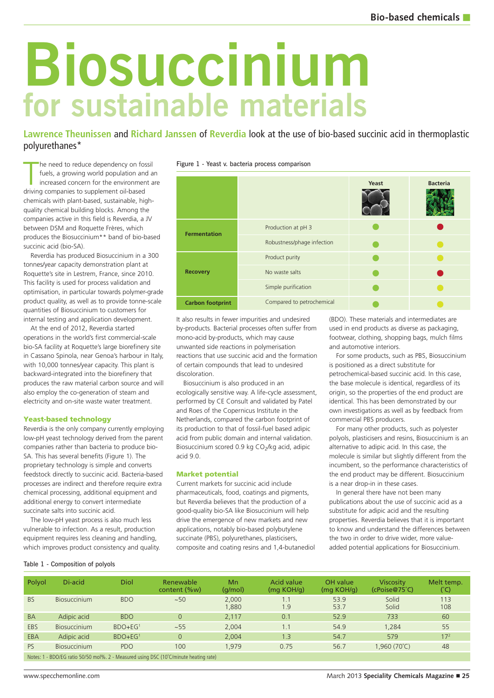# **for sustainable materials Biosuccinium**

**Lawrence Theunissen** and **Richard Janssen** of **Reverdia** look at the use of bio-based succinic acid in thermoplastic polyurethanes\*

The need to reduce dependency on fo<br>fuels, a growing world population an<br>increased concern for the environmer<br>driving companies to supplement oil-based he need to reduce dependency on fossil fuels, a growing world population and an increased concern for the environment are chemicals with plant-based, sustainable, highquality chemical building blocks. Among the companies active in this field is Reverdia, a JV between DSM and Roquette Frères, which produces the Biosuccinium\*\* band of bio-based succinic acid (bio-SA).

Reverdia has produced Biosuccinium in a 300 tonnes/year capacity demonstration plant at Roquette's site in Lestrem, France, since 2010. This facility is used for process validation and optimisation, in particular towards polymer-grade product quality, as well as to provide tonne-scale quantities of Biosuccinium to customers for internal testing and application development.

At the end of 2012, Reverdia started operations in the world's first commercial-scale bio-SA facility at Roquette's large biorefinery site in Cassano Spinola, near Genoa's harbour in Italy, with 10,000 tonnes/year capacity. This plant is backward-integrated into the biorefinery that produces the raw material carbon source and will also employ the co-generation of steam and electricity and on-site waste water treatment.

### **Yeast-based technology**

Reverdia is the only company currently employing low-pH yeast technology derived from the parent companies rather than bacteria to produce bio-SA. This has several benefits (Figure 1). The proprietary technology is simple and converts feedstock directly to succinic acid. Bacteria-based processes are indirect and therefore require extra chemical processing, additional equipment and additional energy to convert intermediate succinate salts into succinic acid.

The low-pH yeast process is also much less vulnerable to infection. As a result, production equipment requires less cleaning and handling, which improves product consistency and quality.

| ັ<br>.                  |                            |       |                 |  |  |  |  |
|-------------------------|----------------------------|-------|-----------------|--|--|--|--|
|                         |                            | Yeast | <b>Bacteria</b> |  |  |  |  |
| <b>Fermentation</b>     | Production at pH 3         |       |                 |  |  |  |  |
|                         | Robustness/phage infection |       |                 |  |  |  |  |
|                         | Product purity             |       |                 |  |  |  |  |
| <b>Recovery</b>         | No waste salts             |       |                 |  |  |  |  |
|                         | Simple purification        |       |                 |  |  |  |  |
| <b>Carbon footprint</b> | Compared to petrochemical  |       |                 |  |  |  |  |

It also results in fewer impurities and undesired by-products. Bacterial processes often suffer from mono-acid by-products, which may cause unwanted side reactions in polymerisation reactions that use succinic acid and the formation of certain compounds that lead to undesired discoloration.

Biosuccinium is also produced in an ecologically sensitive way. A life-cycle assessment, performed by CE Consult and validated by Patel and Roes of the Copernicus Institute in the Netherlands, compared the carbon footprint of its production to that of fossil-fuel based adipic acid from public domain and internal validation. Biosuccinium scored 0.9 kg CO<sub>2</sub>/kg acid, adipic acid 9.0.

#### **Market potential**

Current markets for succinic acid include pharmaceuticals, food, coatings and pigments, but Reverdia believes that the production of a good-quality bio-SA like Biosuccinium will help drive the emergence of new markets and new applications, notably bio-based polybutylene succinate (PBS), polyurethanes, plasticisers, composite and coating resins and 1,4-butanediol (BDO). These materials and intermediates are used in end products as diverse as packaging, footwear, clothing, shopping bags, mulch films and automotive interiors.

For some products, such as PBS, Biosuccinium is positioned as a direct substitute for petrochemical-based succinic acid. In this case, the base molecule is identical, regardless of its origin, so the properties of the end product are identical. This has been demonstrated by our own investigations as well as by feedback from commercial PBS producers.

For many other products, such as polyester polyols, plasticisers and resins, Biosuccinium is an alternative to adipic acid. In this case, the molecule is similar but slightly different from the incumbent, so the performance characteristics of the end product may be different. Biosuccinium is a near drop-in in these cases.

In general there have not been many publications about the use of succinic acid as a substitute for adipic acid and the resulting properties. Reverdia believes that it is important to know and understand the differences between the two in order to drive wider, more valueadded potential applications for Biosuccinium.

## Table 1 - Composition of polyols

| Polyol     | Di-acid                                                                               | Diol                | Renewable<br>content (%w) | Mn<br>(q/mol)  | <b>Acid value</b><br>(mg KOH/g) | OH value<br>(mq KOH/q) | <b>Viscosity</b><br>$(cPoise@75^{\circ}C)$ | Melt temp.<br>(°C) |  |
|------------|---------------------------------------------------------------------------------------|---------------------|---------------------------|----------------|---------------------------------|------------------------|--------------------------------------------|--------------------|--|
| <b>BS</b>  | <b>Biosuccinium</b>                                                                   | <b>BDO</b>          | ~100                      | 2,000<br>1,880 | $\overline{1}$ .1<br>1.9        | 53.9<br>53.7           | Solid<br>Solid                             | 113<br>108         |  |
| <b>BA</b>  | Adipic acid                                                                           | <b>BDO</b>          | $\overline{O}$            | 2.117          | 0.1                             | 52.9                   | 733                                        | 60                 |  |
| <b>EBS</b> | Biosuccinium                                                                          | $BDO + EG1$         | ~155                      | 2,004          | 1.1                             | 54.9                   | 1.284                                      | 55                 |  |
| EBA        | Adipic acid                                                                           | BDO+EG <sup>1</sup> | $\overline{O}$            | 2.004          | 1.3                             | 54.7                   | 579                                        | 17 <sup>2</sup>    |  |
| <b>PS</b>  | <b>Biosuccinium</b>                                                                   | PDO.                | 100                       | 1.979          | 0.75                            | 56.7                   | $1,960(70^{\circ}C)$                       | 48                 |  |
|            | Notes: 1 - BDO/EG ratio 50/50 mol%. 2 - Measured using DSC (10°C/minute heating rate) |                     |                           |                |                                 |                        |                                            |                    |  |